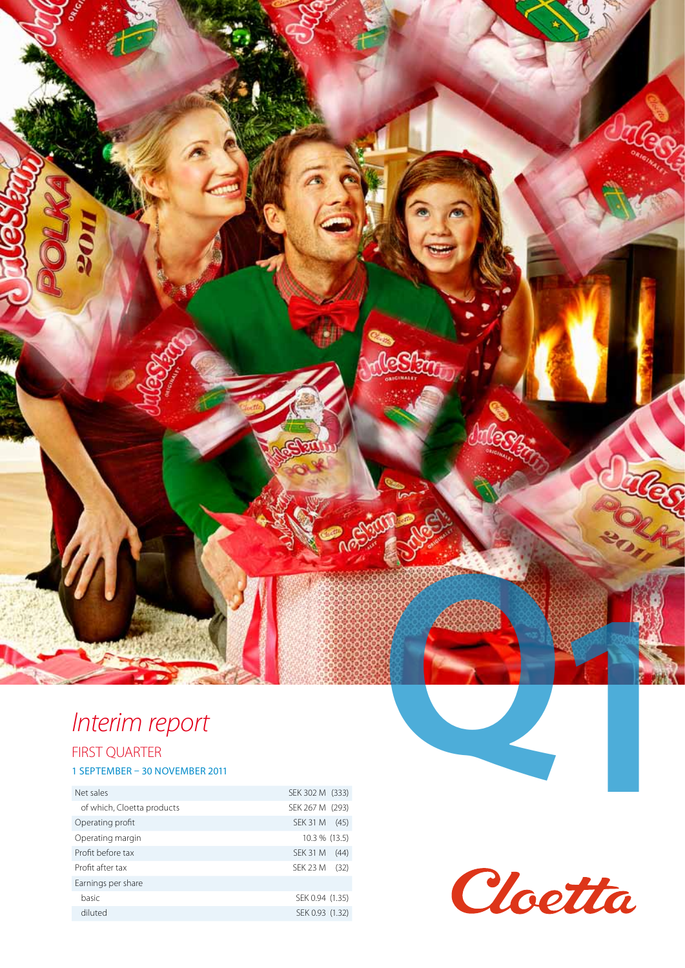## *Interim report*

### FIRST QUARTER

#### 1 SEPTEMBER – 30 NOVEMBER 2011

| Net sales                  | SEK 302 M (333)         |
|----------------------------|-------------------------|
| of which, Cloetta products | SEK 267 M (293)         |
| Operating profit           | SEK 31 M<br>(45)        |
| Operating margin           | 10.3 % (13.5)           |
| Profit before tax          | <b>SEK 31 M</b><br>(44) |
| Profit after tax           | SEK 23 M<br>(32)        |
| Earnings per share         |                         |
| basic                      | SEK 0.94 (1.35)         |
| diluted                    | SEK 0.93 (1.32)         |



**PHONE** 

ශ්රිත

Dates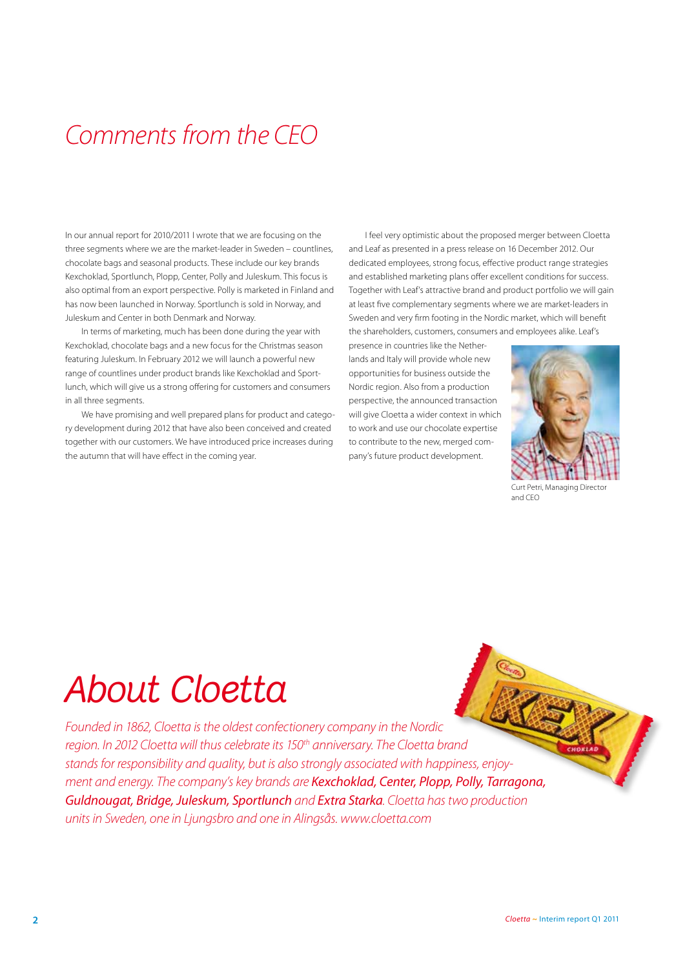### *Comments from the CEO*

In our annual report for 2010/2011 I wrote that we are focusing on the three segments where we are the market-leader in Sweden – countlines, chocolate bags and seasonal products. These include our key brands Kexchoklad, Sportlunch, Plopp, Center, Polly and Juleskum. This focus is also optimal from an export perspective. Polly is marketed in Finland and has now been launched in Norway. Sportlunch is sold in Norway, and Juleskum and Center in both Denmark and Norway.

In terms of marketing, much has been done during the year with Kexchoklad, chocolate bags and a new focus for the Christmas season featuring Juleskum. In February 2012 we will launch a powerful new range of countlines under product brands like Kexchoklad and Sportlunch, which will give us a strong offering for customers and consumers in all three segments.

We have promising and well prepared plans for product and category development during 2012 that have also been conceived and created together with our customers. We have introduced price increases during the autumn that will have effect in the coming year.

I feel very optimistic about the proposed merger between Cloetta and Leaf as presented in a press release on 16 December 2012. Our dedicated employees, strong focus, effective product range strategies and established marketing plans offer excellent conditions for success. Together with Leaf's attractive brand and product portfolio we will gain at least five complementary segments where we are market-leaders in Sweden and very firm footing in the Nordic market, which will benefit the shareholders, customers, consumers and employees alike. Leaf's

presence in countries like the Netherlands and Italy will provide whole new opportunities for business outside the Nordic region. Also from a production perspective, the announced transaction will give Cloetta a wider context in which to work and use our chocolate expertise to contribute to the new, merged company's future product development.



Curt Petri, Managing Directo and CEO

# *About Cloetta*

*Founded in 1862, Cloetta is the oldest confectionery company in the Nordic*  region. In 2012 Cloetta will thus celebrate its 150<sup>th</sup> anniversary. The Cloetta brand *stands for responsibility and quality, but is also strongly associated with happiness, enjoyment and energy. The company's key brands are Kexchoklad, Center, Plopp, Polly, Tarragona, Guldnougat, Bridge, Juleskum, Sportlunch and Extra Starka. Cloetta has two production units in Sweden, one in Ljungsbro and one in Alingsås. www.cloetta.com*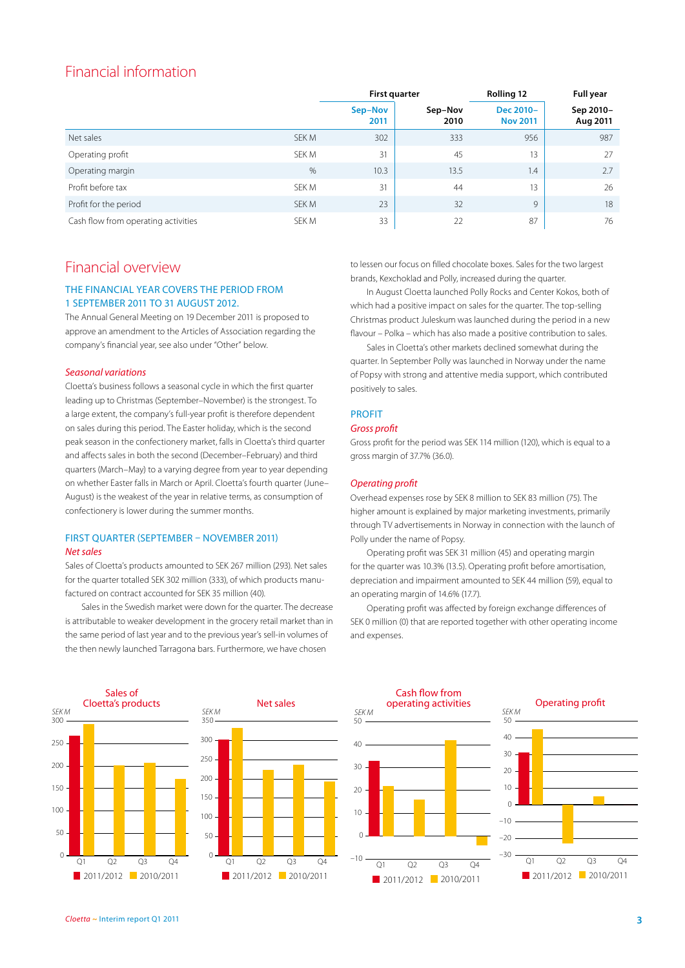### Financial information

|                                     |       | <b>First quarter</b> |                 | <b>Rolling 12</b>            | <b>Full year</b>      |
|-------------------------------------|-------|----------------------|-----------------|------------------------------|-----------------------|
|                                     |       | Sep-Nov<br>2011      | Sep-Nov<br>2010 | Dec 2010-<br><b>Nov 2011</b> | Sep 2010-<br>Aug 2011 |
| Net sales                           | SEK M | 302                  | 333             | 956                          | 987                   |
| Operating profit                    | SEK M | 31                   | 45              | 13                           | 27                    |
| Operating margin                    | $\%$  | 10.3                 | 13.5            | 1.4                          | 2.7                   |
| Profit before tax                   | SEK M | 31                   | 44              | 13                           | 26                    |
| Profit for the period               | SEK M | 23                   | 32              | 9                            | 18                    |
| Cash flow from operating activities | SEK M | 33                   | 22              | 87                           | 76                    |

### Financial overview

#### The financial year covers the period from 1 September 2011 to 31 August 2012.

The Annual General Meeting on 19 December 2011 is proposed to approve an amendment to the Articles of Association regarding the company's financial year, see also under "Other" below.

#### *Seasonal variations*

Cloetta's business follows a seasonal cycle in which the first quarter leading up to Christmas (September–November) is the strongest. To a large extent, the company's full-year profit is therefore dependent on sales during this period. The Easter holiday, which is the second peak season in the confectionery market, falls in Cloetta's third quarter and affects sales in both the second (December–February) and third quarters (March–May) to a varying degree from year to year depending on whether Easter falls in March or April. Cloetta's fourth quarter (June– August) is the weakest of the year in relative terms, as consumption of confectionery is lower during the summer months.

#### FIRST QUARTER (SEPTEMBER – NOVEMBER 2011) *Net sales*

Sales of Cloetta's products amounted to SEK 267 million (293). Net sales for the quarter totalled SEK 302 million (333), of which products manufactured on contract accounted for SEK 35 million (40).

Sales in the Swedish market were down for the quarter. The decrease is attributable to weaker development in the grocery retail market than in the same period of last year and to the previous year's sell-in volumes of the then newly launched Tarragona bars. Furthermore, we have chosen

to lessen our focus on filled chocolate boxes. Sales for the two largest brands, Kexchoklad and Polly, increased during the quarter.

In August Cloetta launched Polly Rocks and Center Kokos, both of which had a positive impact on sales for the quarter. The top-selling Christmas product Juleskum was launched during the period in a new flavour – Polka – which has also made a positive contribution to sales.

Sales in Cloetta's other markets declined somewhat during the quarter. In September Polly was launched in Norway under the name of Popsy with strong and attentive media support, which contributed positively to sales.

#### **PROFIT**

#### *Gross profit*

Gross profit for the period was SEK 114 million (120), which is equal to a gross margin of 37.7% (36.0).

#### *Operating profit*

Overhead expenses rose by SEK 8 million to SEK 83 million (75). The higher amount is explained by major marketing investments, primarily through TV advertisements in Norway in connection with the launch of Polly under the name of Popsy.

Operating profit was SEK 31 million (45) and operating margin for the quarter was 10.3% (13.5). Operating profit before amortisation, depreciation and impairment amounted to SEK 44 million (59), equal to an operating margin of 14.6% (17.7).

Operating profit was affected by foreign exchange differences of SEK 0 million (0) that are reported together with other operating income and expenses.



#### *Cloetta* **~** Interim report Q1 2011 **3**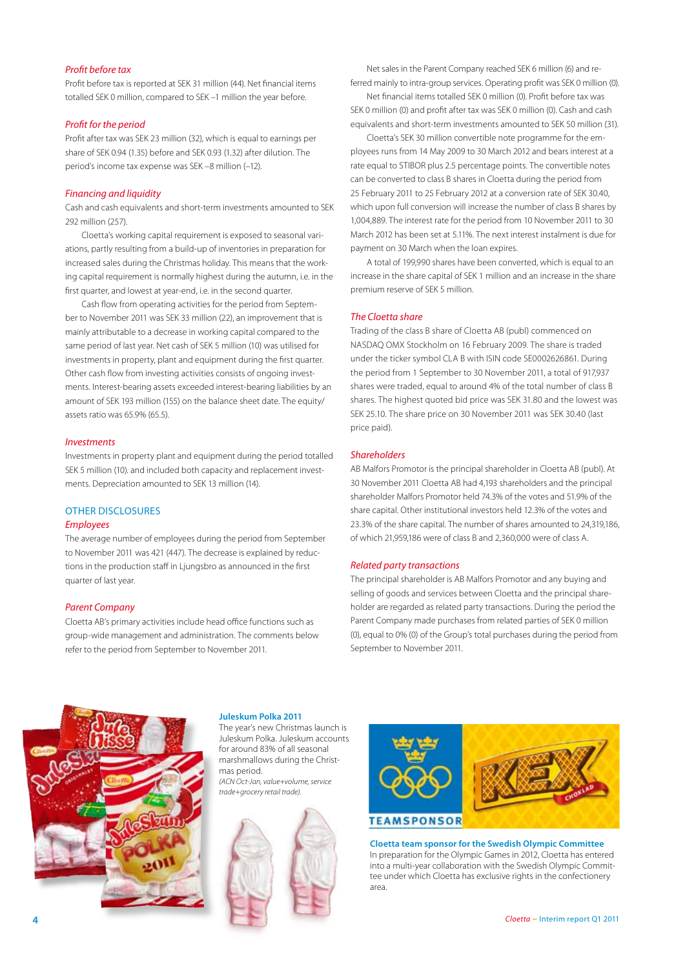#### *Profit before tax*

Profit before tax is reported at SEK 31 million (44). Net financial items totalled SEK 0 million, compared to SEK –1 million the year before.

#### *Profit for the period*

Profit after tax was SEK 23 million (32), which is equal to earnings per share of SEK 0.94 (1.35) before and SEK 0.93 (1.32) after dilution. The period's income tax expense was SEK –8 million (–12).

#### *Financing and liquidity*

Cash and cash equivalents and short-term investments amounted to SEK 292 million (257).

Cloetta's working capital requirement is exposed to seasonal variations, partly resulting from a build-up of inventories in preparation for increased sales during the Christmas holiday. This means that the working capital requirement is normally highest during the autumn, i.e. in the first quarter, and lowest at year-end, i.e. in the second quarter.

Cash flow from operating activities for the period from September to November 2011 was SEK 33 million (22), an improvement that is mainly attributable to a decrease in working capital compared to the same period of last year. Net cash of SEK 5 million (10) was utilised for investments in property, plant and equipment during the first quarter. Other cash flow from investing activities consists of ongoing investments. Interest-bearing assets exceeded interest-bearing liabilities by an amount of SEK 193 million (155) on the balance sheet date. The equity/ assets ratio was 65.9% (65.5).

#### *Investments*

Investments in property plant and equipment during the period totalled SEK 5 million (10). and included both capacity and replacement investments. Depreciation amounted to SEK 13 million (14).

### OTHER DISCLOSURES

#### *Employees*

The average number of employees during the period from September to November 2011 was 421 (447). The decrease is explained by reductions in the production staff in Ljungsbro as announced in the first quarter of last year.

#### *Parent Company*

Cloetta AB's primary activities include head office functions such as group-wide management and administration. The comments below refer to the period from September to November 2011.

Net sales in the Parent Company reached SEK 6 million (6) and referred mainly to intra-group services. Operating profit was SEK 0 million (0).

Net financial items totalled SEK 0 million (0). Profit before tax was SEK 0 million (0) and profit after tax was SEK 0 million (0). Cash and cash equivalents and short-term investments amounted to SEK 50 million (31).

Cloetta's SEK 30 million convertible note programme for the employees runs from 14 May 2009 to 30 March 2012 and bears interest at a rate equal to STIBOR plus 2.5 percentage points. The convertible notes can be converted to class B shares in Cloetta during the period from 25 February 2011 to 25 February 2012 at a conversion rate of SEK 30.40, which upon full conversion will increase the number of class B shares by 1,004,889. The interest rate for the period from 10 November 2011 to 30 March 2012 has been set at 5.11%. The next interest instalment is due for payment on 30 March when the loan expires.

A total of 199,990 shares have been converted, which is equal to an increase in the share capital of SEK 1 million and an increase in the share premium reserve of SEK 5 million.

#### *The Cloetta share*

Trading of the class B share of Cloetta AB (publ) commenced on NASDAQ OMX Stockholm on 16 February 2009. The share is traded under the ticker symbol CLA B with ISIN code SE0002626861. During the period from 1 September to 30 November 2011, a total of 917,937 shares were traded, equal to around 4% of the total number of class B shares. The highest quoted bid price was SEK 31.80 and the lowest was SEK 25.10. The share price on 30 November 2011 was SEK 30.40 (last price paid).

#### *Shareholders*

AB Malfors Promotor is the principal shareholder in Cloetta AB (publ). At 30 November 2011 Cloetta AB had 4,193 shareholders and the principal shareholder Malfors Promotor held 74.3% of the votes and 51.9% of the share capital. Other institutional investors held 12.3% of the votes and 23.3% of the share capital. The number of shares amounted to 24,319,186, of which 21,959,186 were of class B and 2,360,000 were of class A.

#### *Related party transactions*

The principal shareholder is AB Malfors Promotor and any buying and selling of goods and services between Cloetta and the principal shareholder are regarded as related party transactions. During the period the Parent Company made purchases from related parties of SEK 0 million (0), equal to 0% (0) of the Group's total purchases during the period from September to November 2011.



**Juleskum Polka 2011** 

The year's new Christmas launch is Juleskum Polka. Juleskum accounts for around 83% of all seasonal marshmallows during the Christmas period. *(ACN Oct-Jan, value+volume, service trade+grocery retail trade).*





**Cloetta team sponsor for the Swedish Olympic Committee**  In preparation for the Olympic Games in 2012, Cloetta has entered into a multi-year collaboration with the Swedish Olympic Committee under which Cloetta has exclusive rights in the confectionery area.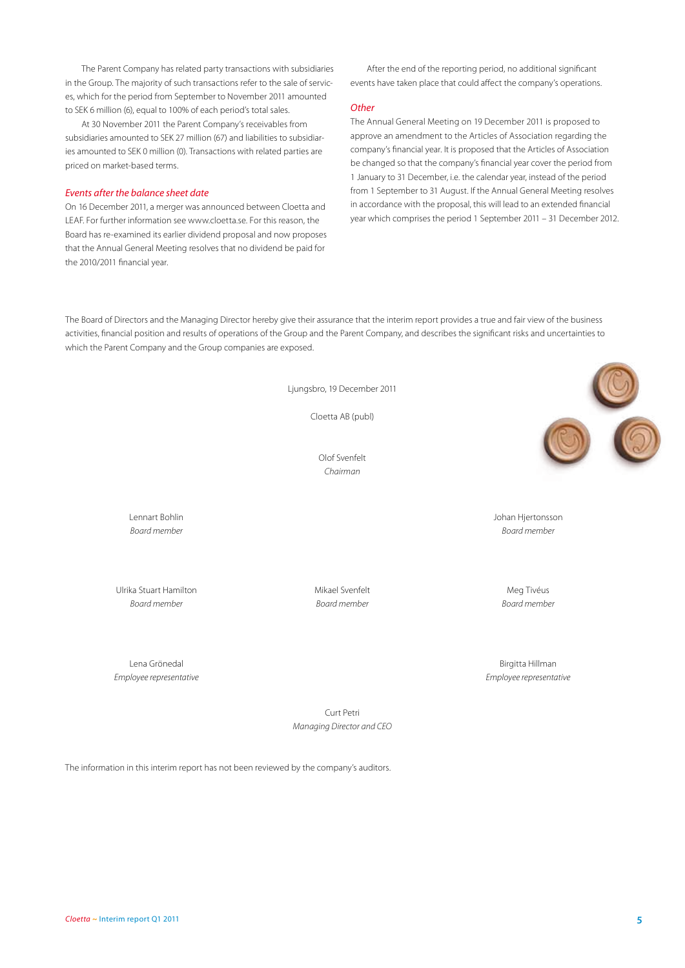The Parent Company has related party transactions with subsidiaries in the Group. The majority of such transactions refer to the sale of services, which for the period from September to November 2011 amounted to SEK 6 million (6), equal to 100% of each period's total sales.

At 30 November 2011 the Parent Company's receivables from subsidiaries amounted to SEK 27 million (67) and liabilities to subsidiaries amounted to SEK 0 million (0). Transactions with related parties are priced on market-based terms.

#### *Events after the balance sheet date*

On 16 December 2011, a merger was announced between Cloetta and LEAF. For further information see www.cloetta.se. For this reason, the Board has re-examined its earlier dividend proposal and now proposes that the Annual General Meeting resolves that no dividend be paid for the 2010/2011 financial year.

After the end of the reporting period, no additional significant events have taken place that could affect the company's operations.

#### *Other*

The Annual General Meeting on 19 December 2011 is proposed to approve an amendment to the Articles of Association regarding the company's financial year. It is proposed that the Articles of Association be changed so that the company's financial year cover the period from 1 January to 31 December, i.e. the calendar year, instead of the period from 1 September to 31 August. If the Annual General Meeting resolves in accordance with the proposal, this will lead to an extended financial year which comprises the period 1 September 2011 – 31 December 2012.

The Board of Directors and the Managing Director hereby give their assurance that the interim report provides a true and fair view of the business activities, financial position and results of operations of the Group and the Parent Company, and describes the significant risks and uncertainties to which the Parent Company and the Group companies are exposed.

Ljungsbro, 19 December 2011

Cloetta AB (publ)

Olof Svenfelt *Chairman*

Lennart Bohlin Johan Hjertonsson *Board member Board member*

Ulrika Stuart Hamilton Mikael Svenfelt Mikael Svenfelt Meg Tivéus *Board member Board member Board member*

Lena Grönedal Birgitta Hillman

*Employee representative Employee representative*

Curt Petri *Managing Director and CEO*

The information in this interim report has not been reviewed by the company's auditors.

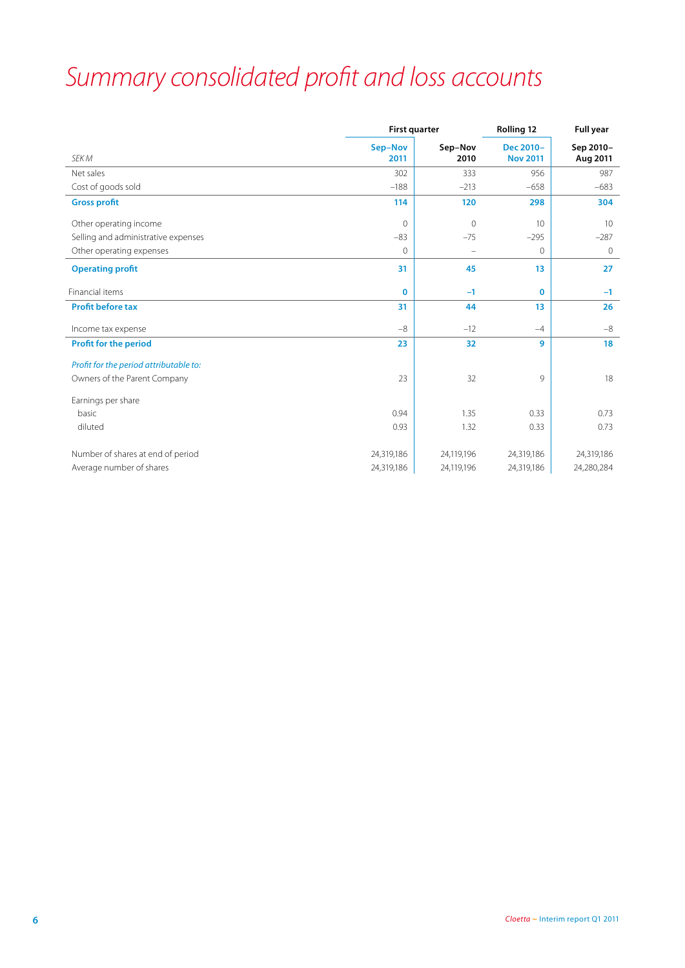## *Summary consolidated profit and loss accounts*

|                                        |                 | <b>First quarter</b> |                              | <b>Full year</b>      |
|----------------------------------------|-----------------|----------------------|------------------------------|-----------------------|
| SEK M                                  | Sep-Nov<br>2011 | Sep-Nov<br>2010      | Dec 2010-<br><b>Nov 2011</b> | Sep 2010-<br>Aug 2011 |
| Net sales                              | 302             | 333                  | 956                          | 987                   |
| Cost of goods sold                     | $-188$          | $-213$               | $-658$                       | $-683$                |
| <b>Gross profit</b>                    | 114             | 120                  | 298                          | 304                   |
| Other operating income                 | $\Omega$        | $\overline{0}$       | 10                           | 10                    |
| Selling and administrative expenses    | $-83$           | $-75$                | $-295$                       | $-287$                |
| Other operating expenses               | 0               | $\qquad \qquad -$    | $\circ$                      | 0                     |
| <b>Operating profit</b>                | 31              | 45                   | 13                           | 27                    |
| Financial items                        | $\bf{0}$        | $-1$                 | $\mathbf 0$                  | $-1$                  |
| <b>Profit before tax</b>               | 31              | 44                   | 13                           | 26                    |
| Income tax expense                     | $-8$            | $-12$                | $-4$                         | $-8$                  |
| <b>Profit for the period</b>           | 23              | 32                   | 9                            | 18                    |
| Profit for the period attributable to: |                 |                      |                              |                       |
| Owners of the Parent Company           | 23              | 32                   | 9                            | 18                    |
| Earnings per share                     |                 |                      |                              |                       |
| basic                                  | 0.94            | 1.35                 | 0.33                         | 0.73                  |
| diluted                                | 0.93            | 1.32                 | 0.33                         | 0.73                  |
| Number of shares at end of period      | 24,319,186      | 24,119,196           | 24,319,186                   | 24,319,186            |
| Average number of shares               | 24,319,186      | 24,119,196           | 24,319,186                   | 24,280,284            |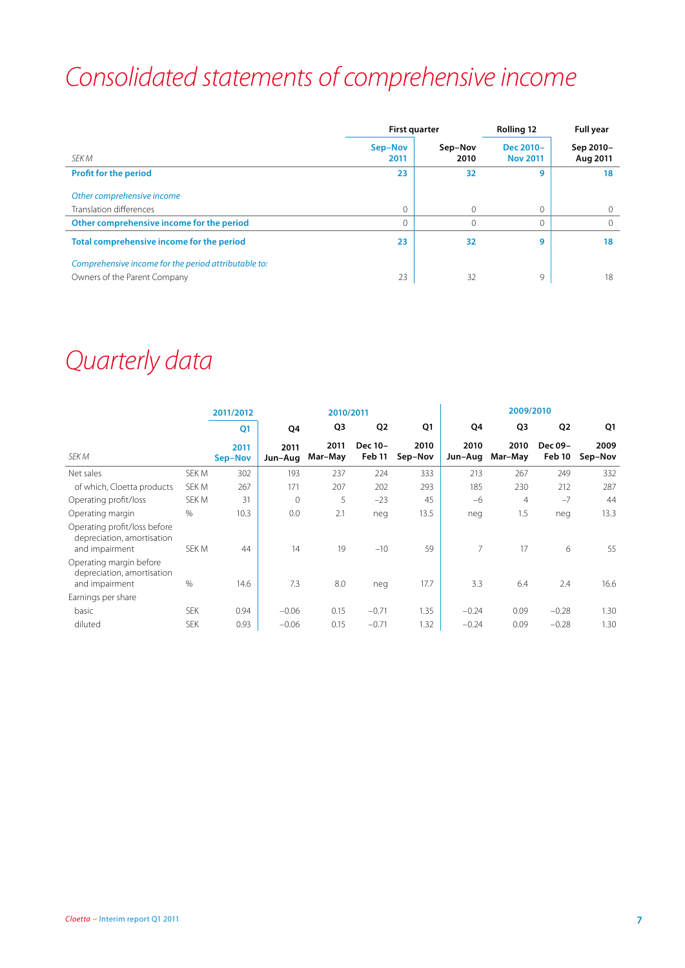## *Consolidated statements of comprehensive income*

|                                                                                      | <b>First quarter</b> |                 | <b>Rolling 12</b>            | <b>Full year</b>      |
|--------------------------------------------------------------------------------------|----------------------|-----------------|------------------------------|-----------------------|
| <b>SFK M</b>                                                                         | Sep-Nov<br>2011      | Sep-Nov<br>2010 | Dec 2010-<br><b>Nov 2011</b> | Sep 2010-<br>Aug 2011 |
| <b>Profit for the period</b>                                                         | 23                   | 32              | 9                            | 18                    |
| Other comprehensive income                                                           |                      |                 |                              |                       |
| Translation differences                                                              | $\Omega$             | $\Omega$        | $\mathbf{0}$                 |                       |
| Other comprehensive income for the period                                            | $\Omega$             | 0               | $\mathbf{0}$                 |                       |
| Total comprehensive income for the period                                            | 23                   | 32              | 9                            | 18                    |
| Comprehensive income for the period attributable to:<br>Owners of the Parent Company | 23                   | 32              | 9                            | 18                    |

### *Quarterly data*

|                                                                              |            | 2011/2012       |                 | 2010/2011       |                   |                 |                 | 2009/2010       |                   |                 |
|------------------------------------------------------------------------------|------------|-----------------|-----------------|-----------------|-------------------|-----------------|-----------------|-----------------|-------------------|-----------------|
|                                                                              |            | Q <sub>1</sub>  | Q4              | Q3              | Q <sub>2</sub>    | Q1              | Q4              | Q3              | Q <sub>2</sub>    | Q1              |
| SEK M                                                                        |            | 2011<br>Sep-Nov | 2011<br>Jun-Aug | 2011<br>Mar-May | Dec 10-<br>Feb 11 | 2010<br>Sep-Nov | 2010<br>Jun-Aug | 2010<br>Mar-May | Dec 09-<br>Feb 10 | 2009<br>Sep-Nov |
| Net sales                                                                    | SEK M      | 302             | 193             | 237             | 224               | 333             | 213             | 267             | 249               | 332             |
| of which, Cloetta products                                                   | SEK M      | 267             | 171             | 207             | 202               | 293             | 185             | 230             | 212               | 287             |
| Operating profit/loss                                                        | SEK M      | 31              | $\Omega$        | 5               | $-23$             | 45              | $-6$            | $\overline{4}$  | $-7$              | 44              |
| Operating margin                                                             | $\%$       | 10.3            | 0.0             | 2.1             | neg               | 13.5            | neg             | 1.5             | neg               | 13.3            |
| Operating profit/loss before<br>depreciation, amortisation<br>and impairment | SEK M      | 44              | 14              | 19              | $-10$             | 59              | 7               | 17              | 6                 | 55              |
| Operating margin before<br>depreciation, amortisation<br>and impairment      | %          | 14.6            | 7.3             | 8.0             | neg               | 17.7            | 3.3             | 6.4             | 2.4               | 16.6            |
| Earnings per share                                                           |            |                 |                 |                 |                   |                 |                 |                 |                   |                 |
| basic                                                                        | <b>SEK</b> | 0.94            | $-0.06$         | 0.15            | $-0.71$           | 1.35            | $-0.24$         | 0.09            | $-0.28$           | 1.30            |
| diluted                                                                      | <b>SEK</b> | 0.93            | $-0.06$         | 0.15            | $-0.71$           | 1.32            | $-0.24$         | 0.09            | $-0.28$           | 1.30            |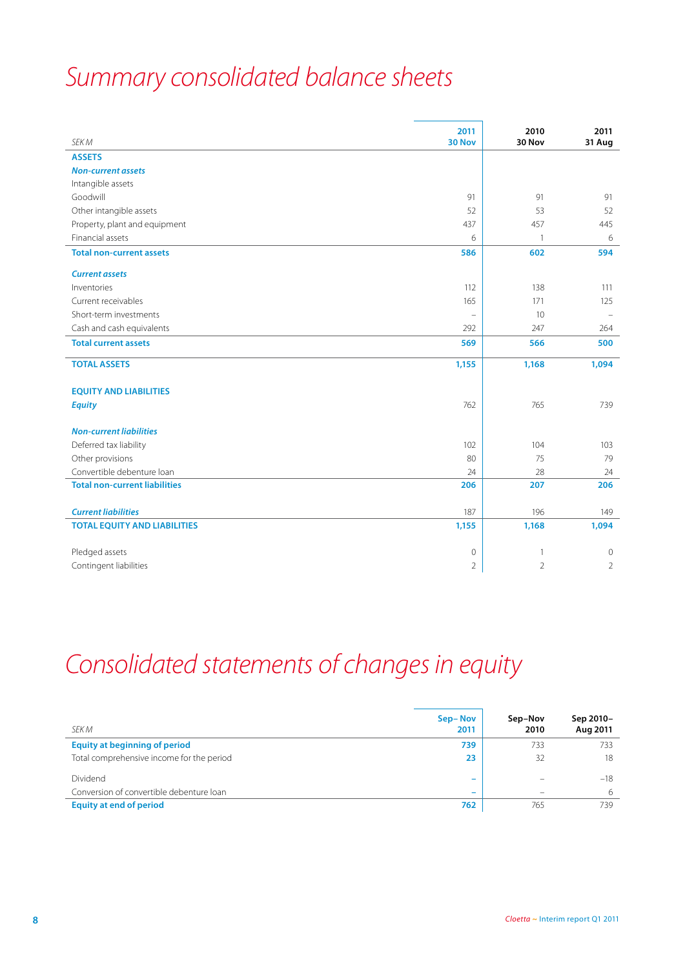## *Summary consolidated balance sheets*

| SEK M                                | 2011<br>30 Nov      | 2010<br>30 Nov | 2011<br>31 Aug |
|--------------------------------------|---------------------|----------------|----------------|
| <b>ASSETS</b>                        |                     |                |                |
| <b>Non-current assets</b>            |                     |                |                |
| Intangible assets                    |                     |                |                |
| Goodwill                             | 91                  | 91             | 91             |
| Other intangible assets              | 52                  | 53             | 52             |
| Property, plant and equipment        | 437                 | 457            | 445            |
| Financial assets                     | 6                   | $\mathbf{1}$   | 6              |
| <b>Total non-current assets</b>      | 586                 | 602            | 594            |
| <b>Current assets</b>                |                     |                |                |
| Inventories                          | 112                 | 138            | 111            |
| Current receivables                  | 165                 | 171            | 125            |
| Short-term investments               | $\equiv$            | 10             |                |
| Cash and cash equivalents            | 292                 | 247            | 264            |
| <b>Total current assets</b>          | 569                 | 566            | 500            |
| <b>TOTAL ASSETS</b>                  | 1,155               | 1,168          | 1,094          |
| <b>EQUITY AND LIABILITIES</b>        |                     |                |                |
| <b>Equity</b>                        | 762                 | 765            | 739            |
|                                      |                     |                |                |
| <b>Non-current liabilities</b>       |                     |                |                |
| Deferred tax liability               | 102                 | 104            | 103            |
| Other provisions                     | 80                  | 75             | 79             |
| Convertible debenture loan           | 24                  | 28             | 24             |
| <b>Total non-current liabilities</b> | 206                 | 207            | 206            |
|                                      |                     |                |                |
| <b>Current liabilities</b>           | 187                 | 196            | 149            |
| <b>TOTAL EQUITY AND LIABILITIES</b>  | 1,155               | 1,168          | 1,094          |
| Pledged assets                       | $\mathsf{O}\xspace$ | $\overline{1}$ | $\mathbf{0}$   |
| Contingent liabilities               | $\overline{2}$      | $\overline{2}$ | $\overline{2}$ |

## *Consolidated statements of changes in equity*

| SEK M                                     | Sep-Nov<br>2011          | Sep-Nov<br>2010 | Sep 2010-<br>Aug 2011 |
|-------------------------------------------|--------------------------|-----------------|-----------------------|
| <b>Equity at beginning of period</b>      | 739                      | 733             | 733                   |
| Total comprehensive income for the period | 23                       | 32              | 18                    |
| Dividend                                  | $\overline{\phantom{0}}$ |                 | $-18$                 |
| Conversion of convertible debenture loan  | $\overline{\phantom{0}}$ |                 | 6                     |
| <b>Equity at end of period</b>            | 762                      | 765             | 739                   |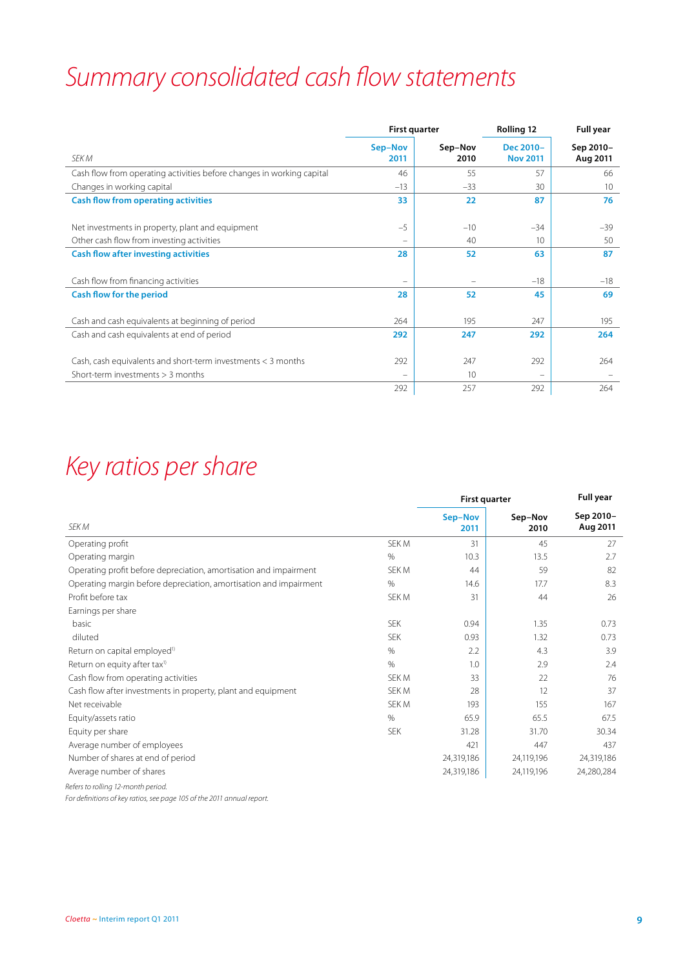## *Summary consolidated cash flow statements*

|                                                                       | <b>First quarter</b> |                 | Rolling 12                   | <b>Full year</b>      |  |
|-----------------------------------------------------------------------|----------------------|-----------------|------------------------------|-----------------------|--|
| SEK M                                                                 | Sep-Nov<br>2011      | Sep-Nov<br>2010 | Dec 2010-<br><b>Nov 2011</b> | Sep 2010-<br>Aug 2011 |  |
| Cash flow from operating activities before changes in working capital | 46                   | 55              | 57                           | 66                    |  |
| Changes in working capital                                            | $-13$                | $-33$           | 30                           | 10 <sup>°</sup>       |  |
| <b>Cash flow from operating activities</b>                            | 33                   | 22              | 87                           | 76                    |  |
| Net investments in property, plant and equipment                      | $-5$                 | $-10$           | $-34$                        | $-39$                 |  |
| Other cash flow from investing activities                             | $-$                  | 40              | 10                           | 50                    |  |
| <b>Cash flow after investing activities</b>                           | 28                   | 52              | 63                           | 87                    |  |
| Cash flow from financing activities                                   | -                    |                 | $-18$                        | $-18$                 |  |
| <b>Cash flow for the period</b>                                       | 28                   | 52              | 45                           | 69                    |  |
| Cash and cash equivalents at beginning of period                      | 264                  | 195             | 247                          | 195                   |  |
| Cash and cash equivalents at end of period                            | 292                  | 247             | 292                          | 264                   |  |
| Cash, cash equivalents and short-term investments < 3 months          | 292                  | 247             | 292                          | 264                   |  |
| Short-term investments > 3 months                                     | $\qquad \qquad -$    | 10              | $\overline{\phantom{0}}$     |                       |  |
|                                                                       | 292                  | 257             | 292                          | 264                   |  |

## *Key ratios per share*

|                                                                   | <b>First quarter</b> | <b>Full year</b> |                 |                       |
|-------------------------------------------------------------------|----------------------|------------------|-----------------|-----------------------|
| SEK M                                                             |                      | Sep-Nov<br>2011  | Sep-Nov<br>2010 | Sep 2010-<br>Aug 2011 |
| Operating profit                                                  | SEK M                | 31               | 45              | 27                    |
| Operating margin                                                  | %                    | 10.3             | 13.5            | 2.7                   |
| Operating profit before depreciation, amortisation and impairment | SEK M                | 44               | 59              | 82                    |
| Operating margin before depreciation, amortisation and impairment | $\%$                 | 14.6             | 17.7            | 8.3                   |
| Profit before tax                                                 | SEK M                | 31               | 44              | 26                    |
| Earnings per share                                                |                      |                  |                 |                       |
| basic                                                             | <b>SEK</b>           | 0.94             | 1.35            | 0.73                  |
| diluted                                                           | <b>SEK</b>           | 0.93             | 1.32            | 0.73                  |
| Return on capital employed <sup>1)</sup>                          | %                    | 2.2              | 4.3             | 3.9                   |
| Return on equity after tax <sup>1)</sup>                          | $\%$                 | 1.0              | 2.9             | 2.4                   |
| Cash flow from operating activities                               | SEK M                | 33               | 22              | 76                    |
| Cash flow after investments in property, plant and equipment      | SEK M                | 28               | 12              | 37                    |
| Net receivable                                                    | SEK M                | 193              | 155             | 167                   |
| Equity/assets ratio                                               | %                    | 65.9             | 65.5            | 67.5                  |
| Equity per share                                                  | <b>SEK</b>           | 31.28            | 31.70           | 30.34                 |
| Average number of employees                                       |                      | 421              | 447             | 437                   |
| Number of shares at end of period                                 |                      | 24,319,186       | 24,119,196      | 24,319,186            |
| Average number of shares                                          |                      | 24,319,186       | 24,119,196      | 24,280,284            |
| Refers to rolling 12-month period.                                |                      |                  |                 |                       |

*For definitions of key ratios, see page 105 of the 2011 annual report.*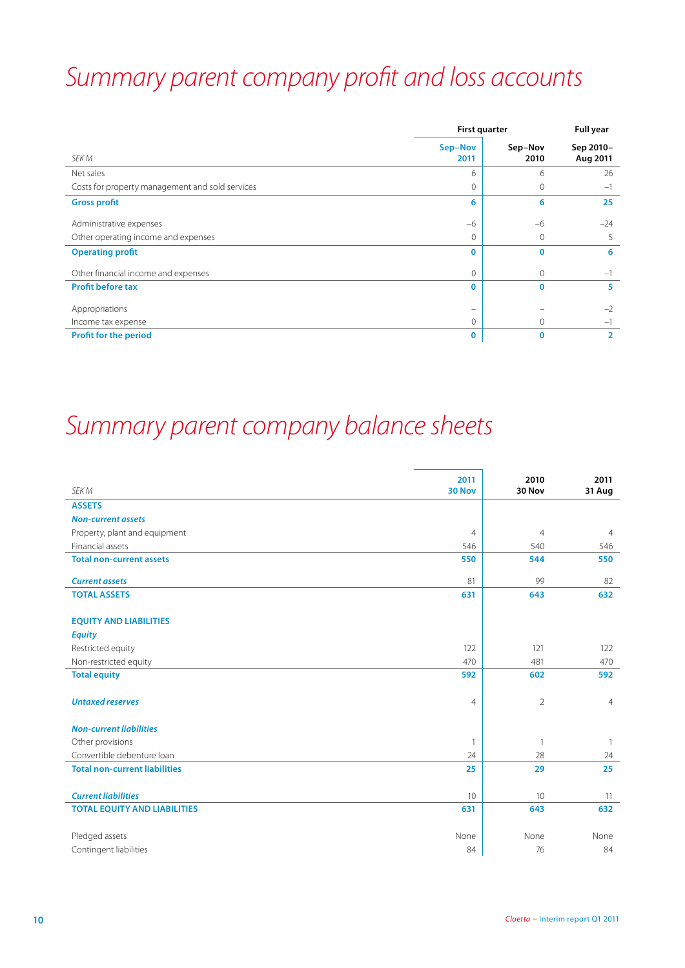## *Summary parent company profit and loss accounts*

|                                                 | <b>First quarter</b> | <b>Full year</b> |                       |
|-------------------------------------------------|----------------------|------------------|-----------------------|
| SEK M                                           | Sep-Nov<br>2011      | Sep-Nov<br>2010  | Sep 2010-<br>Aug 2011 |
| Net sales                                       | 6                    | 6                | 26                    |
| Costs for property management and sold services | $\Omega$             | $\mathbf{0}$     | $-1$                  |
| <b>Gross profit</b>                             | 6                    | 6                | 25                    |
| Administrative expenses                         | $-6$                 | $-6$             | $-24$                 |
| Other operating income and expenses             | $\Omega$             | $\circ$          |                       |
| <b>Operating profit</b>                         | $\mathbf 0$          | $\Omega$         | 6                     |
| Other financial income and expenses             | $\mathbf{0}$         | 0                | $-1$                  |
| <b>Profit before tax</b>                        | $\mathbf 0$          | $\Omega$         | 5                     |
| Appropriations                                  |                      |                  | $-2$                  |
| Income tax expense                              | $\mathbf{0}$         | 0                | $-1$                  |
| <b>Profit for the period</b>                    | $\mathbf 0$          | 0                | 2                     |

### *Summary parent company balance sheets*

| SEK M                                | 2011<br>30 Nov | 2010<br>30 Nov | 2011<br>31 Aug |
|--------------------------------------|----------------|----------------|----------------|
| <b>ASSETS</b>                        |                |                |                |
| <b>Non-current assets</b>            |                |                |                |
| Property, plant and equipment        | $\overline{4}$ | $\overline{4}$ | $\overline{4}$ |
| Financial assets                     | 546            | 540            | 546            |
| <b>Total non-current assets</b>      | 550            | 544            | 550            |
| <b>Current assets</b>                | 81             | 99             | 82             |
| <b>TOTAL ASSETS</b>                  | 631            | 643            | 632            |
| <b>EQUITY AND LIABILITIES</b>        |                |                |                |
| <b>Equity</b>                        |                |                |                |
| Restricted equity                    | 122            | 121            | 122            |
| Non-restricted equity                | 470            | 481            | 470            |
| <b>Total equity</b>                  | 592            | 602            | 592            |
| <b>Untaxed reserves</b>              | $\overline{4}$ | $\overline{2}$ | $\overline{4}$ |
| <b>Non-current liabilities</b>       |                |                |                |
| Other provisions                     | 1              | $\overline{1}$ | $\overline{1}$ |
| Convertible debenture loan           | 24             | 28             | 24             |
| <b>Total non-current liabilities</b> | 25             | 29             | 25             |
| <b>Current liabilities</b>           | 10             | 10             | 11             |
| <b>TOTAL EQUITY AND LIABILITIES</b>  | 631            | 643            | 632            |
| Pledged assets                       | None           | None           | None           |
| Contingent liabilities               | 84             | 76             | 84             |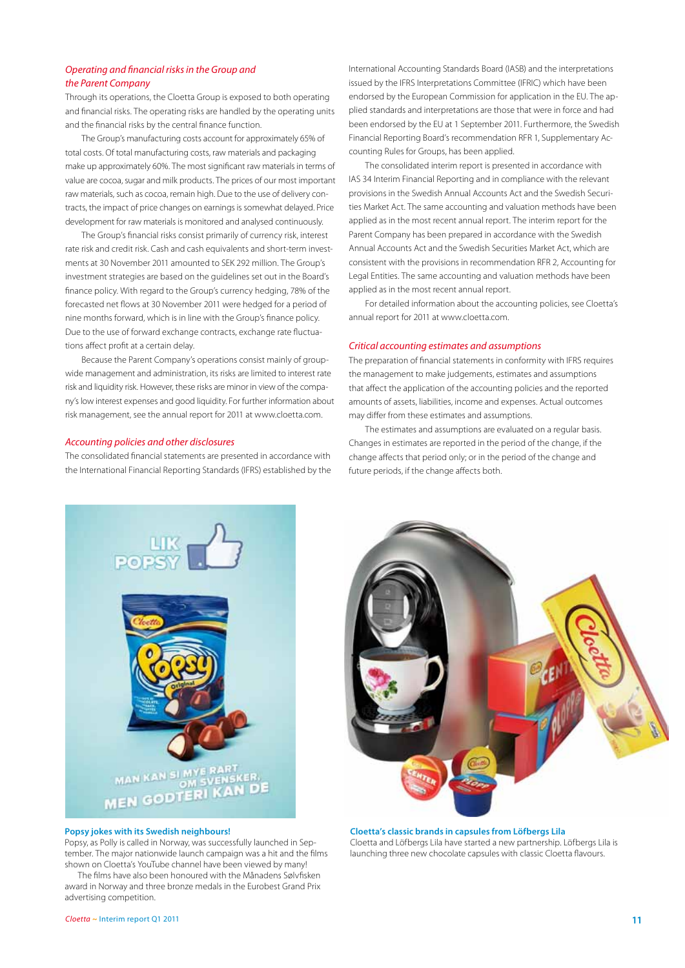#### *Operating and financial risks in the Group and the Parent Company*

Through its operations, the Cloetta Group is exposed to both operating and financial risks. The operating risks are handled by the operating units and the financial risks by the central finance function.

The Group's manufacturing costs account for approximately 65% of total costs. Of total manufacturing costs, raw materials and packaging make up approximately 60%. The most significant raw materials in terms of value are cocoa, sugar and milk products. The prices of our most important raw materials, such as cocoa, remain high. Due to the use of delivery contracts, the impact of price changes on earnings is somewhat delayed. Price development for raw materials is monitored and analysed continuously.

The Group's financial risks consist primarily of currency risk, interest rate risk and credit risk. Cash and cash equivalents and short-term investments at 30 November 2011 amounted to SEK 292 million. The Group's investment strategies are based on the guidelines set out in the Board's finance policy. With regard to the Group's currency hedging, 78% of the forecasted net flows at 30 November 2011 were hedged for a period of nine months forward, which is in line with the Group's finance policy. Due to the use of forward exchange contracts, exchange rate fluctuations affect profit at a certain delay.

Because the Parent Company's operations consist mainly of groupwide management and administration, its risks are limited to interest rate risk and liquidity risk. However, these risks are minor in view of the company's low interest expenses and good liquidity. For further information about risk management, see the annual report for 2011 at www.cloetta.com.

#### *Accounting policies and other disclosures*

The consolidated financial statements are presented in accordance with the International Financial Reporting Standards (IFRS) established by the

International Accounting Standards Board (IASB) and the interpretations issued by the IFRS Interpretations Committee (IFRIC) which have been endorsed by the European Commission for application in the EU. The applied standards and interpretations are those that were in force and had been endorsed by the EU at 1 September 2011. Furthermore, the Swedish Financial Reporting Board's recommendation RFR 1, Supplementary Accounting Rules for Groups, has been applied.

The consolidated interim report is presented in accordance with IAS 34 Interim Financial Reporting and in compliance with the relevant provisions in the Swedish Annual Accounts Act and the Swedish Securities Market Act. The same accounting and valuation methods have been applied as in the most recent annual report. The interim report for the Parent Company has been prepared in accordance with the Swedish Annual Accounts Act and the Swedish Securities Market Act, which are consistent with the provisions in recommendation RFR 2, Accounting for Legal Entities. The same accounting and valuation methods have been applied as in the most recent annual report.

For detailed information about the accounting policies, see Cloetta's annual report for 2011 at www.cloetta.com.

#### *Critical accounting estimates and assumptions*

The preparation of financial statements in conformity with IFRS requires the management to make judgements, estimates and assumptions that affect the application of the accounting policies and the reported amounts of assets, liabilities, income and expenses. Actual outcomes may differ from these estimates and assumptions.

The estimates and assumptions are evaluated on a regular basis. Changes in estimates are reported in the period of the change, if the change affects that period only; or in the period of the change and future periods, if the change affects both.



#### **Popsy jokes with its Swedish neighbours!**

Popsy, as Polly is called in Norway, was successfully launched in September. The major nationwide launch campaign was a hit and the films shown on Cloetta's YouTube channel have been viewed by many!

The films have also been honoured with the Månadens Sølvfisken award in Norway and three bronze medals in the Eurobest Grand Prix advertising competition.



**Cloetta's classic brands in capsules from Löfbergs Lila** Cloetta and Löfbergs Lila have started a new partnership. Löfbergs Lila is launching three new chocolate capsules with classic Cloetta flavours.